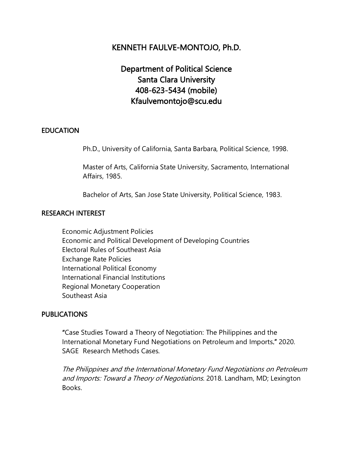# KENNETH FAULVE-MONTOJO, Ph.D.

# Department of Political Science Santa Clara University 408-623-5434 (mobile) Kfaulvemontojo@scu.edu

#### EDUCATION

Ph.D., University of California, Santa Barbara, Political Science, 1998.

Master of Arts, California State University, Sacramento, International Affairs, 1985.

Bachelor of Arts, San Jose State University, Political Science, 1983.

#### RESEARCH INTEREST

Economic Adjustment Policies Economic and Political Development of Developing Countries Electoral Rules of Southeast Asia Exchange Rate Policies International Political Economy International Financial Institutions Regional Monetary Cooperation Southeast Asia

#### **PUBLICATIONS**

 "Case Studies Toward a Theory of Negotiation: The Philippines and the International Monetary Fund Negotiations on Petroleum and Imports." 2020. SAGE Research Methods Cases.

The Philippines and the International Monetary Fund Negotiations on Petroleum and Imports: Toward a Theory of Negotiations. 2018. Landham, MD; Lexington **Books**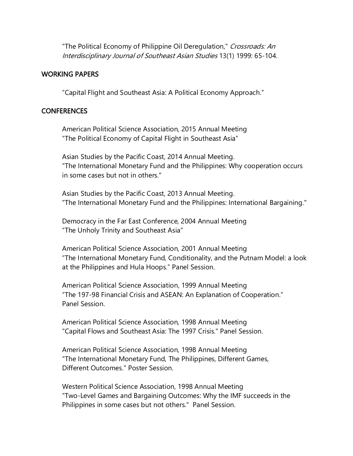"The Political Economy of Philippine Oil Deregulation," Crossroads: An Interdisciplinary Journal of Southeast Asian Studies 13(1) 1999: 65-104.

#### WORKING PAPERS

"Capital Flight and Southeast Asia: A Political Economy Approach."

#### CONFERENCES

American Political Science Association, 2015 Annual Meeting "The Political Economy of Capital Flight in Southeast Asia"

Asian Studies by the Pacific Coast, 2014 Annual Meeting. "The International Monetary Fund and the Philippines: Why cooperation occurs in some cases but not in others."

Asian Studies by the Pacific Coast, 2013 Annual Meeting. "The International Monetary Fund and the Philippines: International Bargaining."

Democracy in the Far East Conference, 2004 Annual Meeting "The Unholy Trinity and Southeast Asia"

American Political Science Association, 2001 Annual Meeting "The International Monetary Fund, Conditionality, and the Putnam Model: a look at the Philippines and Hula Hoops." Panel Session.

American Political Science Association, 1999 Annual Meeting "The 197-98 Financial Crisis and ASEAN: An Explanation of Cooperation." Panel Session.

American Political Science Association, 1998 Annual Meeting "Capital Flows and Southeast Asia: The 1997 Crisis." Panel Session.

American Political Science Association, 1998 Annual Meeting "The International Monetary Fund, The Philippines, Different Games, Different Outcomes." Poster Session.

Western Political Science Association, 1998 Annual Meeting "Two-Level Games and Bargaining Outcomes: Why the IMF succeeds in the Philippines in some cases but not others." Panel Session.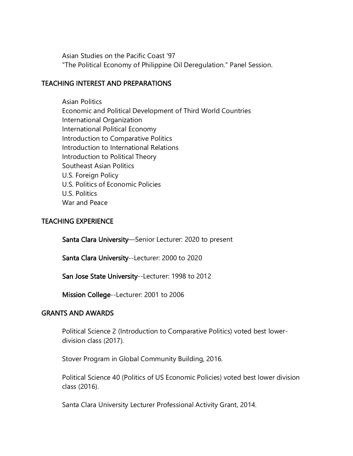Asian Studies on the Pacific Coast '97 "The Political Economy of Philippine Oil Deregulation." Panel Session.

## TEACHING INTEREST AND PREPARATIONS

Asian Politics Economic and Political Development of Third World Countries International Organization International Political Economy Introduction to Comparative Politics Introduction to International Relations Introduction to Political Theory Southeast Asian Politics U.S. Foreign Policy U.S. Politics of Economic Policies U.S. Politics War and Peace

## TEACHING EXPERIENCE

Santa Clara University—Senior Lecturer: 2020 to present

Santa Clara University--Lecturer: 2000 to 2020

San Jose State University--Lecturer: 1998 to 2012

Mission College--Lecturer: 2001 to 2006

## GRANTS AND AWARDS

Political Science 2 (Introduction to Comparative Politics) voted best lowerdivision class (2017).

Stover Program in Global Community Building, 2016.

Political Science 40 (Politics of US Economic Policies) voted best lower division class (2016).

Santa Clara University Lecturer Professional Activity Grant, 2014.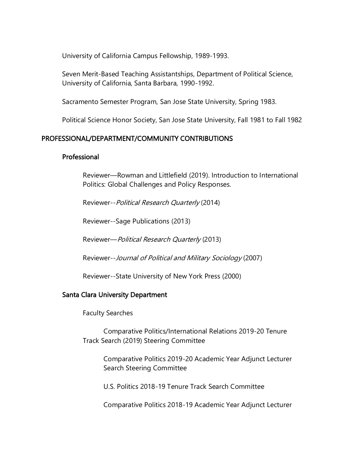University of California Campus Fellowship, 1989-1993.

Seven Merit-Based Teaching Assistantships, Department of Political Science, University of California, Santa Barbara, 1990-1992.

Sacramento Semester Program, San Jose State University, Spring 1983.

Political Science Honor Society, San Jose State University, Fall 1981 to Fall 1982

## PROFESSIONAL/DEPARTMENT/COMMUNITY CONTRIBUTIONS

#### Professional

Reviewer—Rowman and Littlefield (2019). Introduction to International Politics: Global Challenges and Policy Responses.

Reviewer--Political Research Quarterly (2014)

Reviewer--Sage Publications (2013)

Reviewer—Political Research Quarterly (2013)

Reviewer--Journal of Political and Military Sociology (2007)

Reviewer--State University of New York Press (2000)

## Santa Clara University Department

Faculty Searches

Comparative Politics/International Relations 2019-20 Tenure Track Search (2019) Steering Committee

> Comparative Politics 2019-20 Academic Year Adjunct Lecturer Search Steering Committee

U.S. Politics 2018-19 Tenure Track Search Committee

Comparative Politics 2018-19 Academic Year Adjunct Lecturer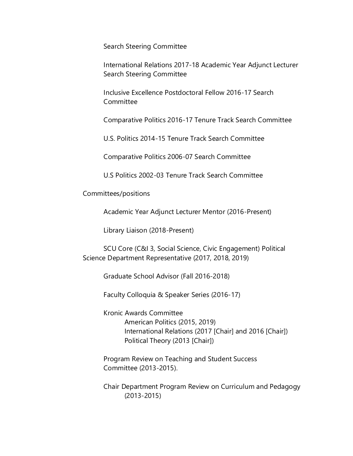Search Steering Committee

International Relations 2017-18 Academic Year Adjunct Lecturer Search Steering Committee

Inclusive Excellence Postdoctoral Fellow 2016-17 Search **Committee** 

Comparative Politics 2016-17 Tenure Track Search Committee

U.S. Politics 2014-15 Tenure Track Search Committee

Comparative Politics 2006-07 Search Committee

U.S Politics 2002-03 Tenure Track Search Committee

Committees/positions

Academic Year Adjunct Lecturer Mentor (2016-Present)

Library Liaison (2018-Present)

SCU Core (C&I 3, Social Science, Civic Engagement) Political Science Department Representative (2017, 2018, 2019)

Graduate School Advisor (Fall 2016-2018)

Faculty Colloquia & Speaker Series (2016-17)

Kronic Awards Committee American Politics (2015, 2019) International Relations (2017 [Chair] and 2016 [Chair]) Political Theory (2013 [Chair])

Program Review on Teaching and Student Success Committee (2013-2015).

Chair Department Program Review on Curriculum and Pedagogy (2013-2015)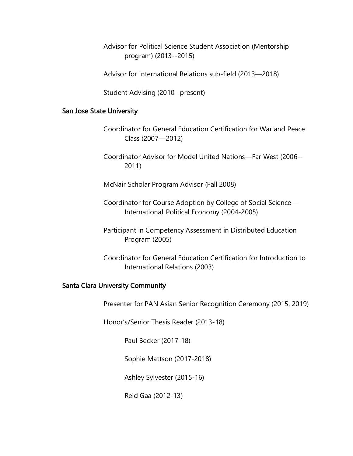Advisor for Political Science Student Association (Mentorship program) (2013--2015)

Advisor for International Relations sub-field (2013—2018)

Student Advising (2010--present)

#### San Jose State University

- Coordinator for General Education Certification for War and Peace Class (2007—2012)
- Coordinator Advisor for Model United Nations—Far West (2006-- 2011)

McNair Scholar Program Advisor (Fall 2008)

- Coordinator for Course Adoption by College of Social Science— International Political Economy (2004-2005)
- Participant in Competency Assessment in Distributed Education Program (2005)
- Coordinator for General Education Certification for Introduction to International Relations (2003)

#### Santa Clara University Community

Presenter for PAN Asian Senior Recognition Ceremony (2015, 2019)

Honor's/Senior Thesis Reader (2013-18)

Paul Becker (2017-18)

Sophie Mattson (2017-2018)

Ashley Sylvester (2015-16)

Reid Gaa (2012-13)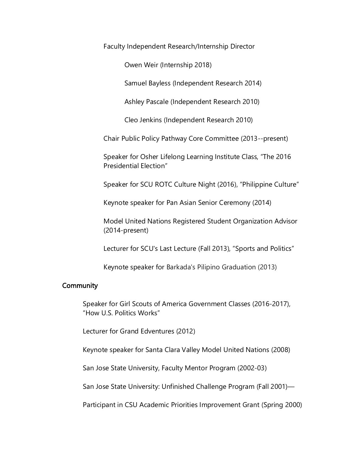Faculty Independent Research/Internship Director

Owen Weir (Internship 2018)

Samuel Bayless (Independent Research 2014)

Ashley Pascale (Independent Research 2010)

Cleo Jenkins (Independent Research 2010)

Chair Public Policy Pathway Core Committee (2013--present)

Speaker for Osher Lifelong Learning Institute Class, "The 2016 Presidential Election"

Speaker for SCU ROTC Culture Night (2016), "Philippine Culture"

Keynote speaker for Pan Asian Senior Ceremony (2014)

Model United Nations Registered Student Organization Advisor (2014-present)

Lecturer for SCU's Last Lecture (Fall 2013), "Sports and Politics"

Keynote speaker for Barkada's Pilipino Graduation (2013)

#### **Community**

Speaker for Girl Scouts of America Government Classes (2016-2017), "How U.S. Politics Works"

Lecturer for Grand Edventures (2012)

Keynote speaker for Santa Clara Valley Model United Nations (2008)

San Jose State University, Faculty Mentor Program (2002-03)

San Jose State University: Unfinished Challenge Program (Fall 2001)—

Participant in CSU Academic Priorities Improvement Grant (Spring 2000)